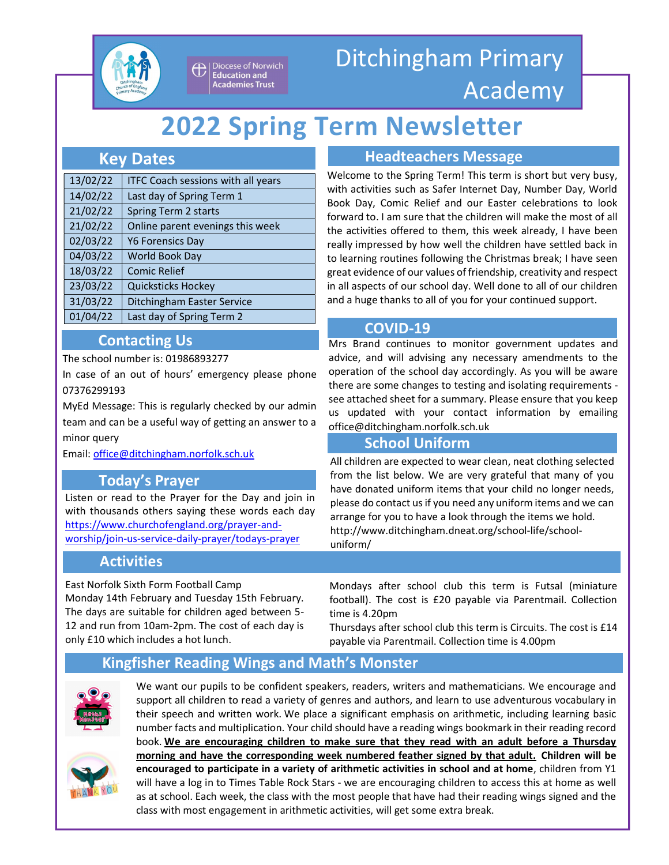

Diocese of Norwich **Education and Academies Trust** 

# Ditchingham Primary Academy

# 2022 Spring Term Newsletter

## Key Dates

| 13/02/22 | <b>ITFC Coach sessions with all years</b> |
|----------|-------------------------------------------|
| 14/02/22 | Last day of Spring Term 1                 |
| 21/02/22 | Spring Term 2 starts                      |
| 21/02/22 | Online parent evenings this week          |
| 02/03/22 | <b>Y6 Forensics Day</b>                   |
| 04/03/22 | World Book Day                            |
| 18/03/22 | <b>Comic Relief</b>                       |
| 23/03/22 | Quicksticks Hockey                        |
| 31/03/22 | <b>Ditchingham Easter Service</b>         |
| 01/04/22 | Last day of Spring Term 2                 |
|          |                                           |

# Contacting Us

The school number is: 01986893277

In case of an out of hours' emergency please phone 07376299193

MyEd Message: This is regularly checked by our admin team and can be a useful way of getting an answer to a minor query

Email: office@ditchingham.norfolk.sch.uk

# Today's Prayer

Listen or read to the Prayer for the Day and join in with thousands others saying these words each day https://www.churchofengland.org/prayer-andworship/join-us-service-daily-prayer/todays-prayer

## Activities

East Norfolk Sixth Form Football Camp Monday 14th February and Tuesday 15th February. The days are suitable for children aged between 5- 12 and run from 10am-2pm. The cost of each day is only £10 which includes a hot lunch.

Headteachers Message

Welcome to the Spring Term! This term is short but very busy, with activities such as Safer Internet Day, Number Day, World Book Day, Comic Relief and our Easter celebrations to look forward to. I am sure that the children will make the most of all the activities offered to them, this week already, I have been really impressed by how well the children have settled back in to learning routines following the Christmas break; I have seen great evidence of our values of friendship, creativity and respect in all aspects of our school day. Well done to all of our children and a huge thanks to all of you for your continued support.

### COVID-19

Mrs Brand continues to monitor government updates and advice, and will advising any necessary amendments to the operation of the school day accordingly. As you will be aware there are some changes to testing and isolating requirements see attached sheet for a summary. Please ensure that you keep us updated with your contact information by emailing office@ditchingham.norfolk.sch.uk

## School Uniform

All children are expected to wear clean, neat clothing selected from the list below. We are very grateful that many of you have donated uniform items that your child no longer needs, please do contact us if you need any uniform items and we can arrange for you to have a look through the items we hold. http://www.ditchingham.dneat.org/school-life/schooluniform/

Mondays after school club this term is Futsal (miniature football). The cost is £20 payable via Parentmail. Collection time is 4.20pm

Thursdays after school club this term is Circuits. The cost is £14 payable via Parentmail. Collection time is 4.00pm

# Kingfisher Reading Wings and Math's Monster



We want our pupils to be confident speakers, readers, writers and mathematicians. We encourage and support all children to read a variety of genres and authors, and learn to use adventurous vocabulary in their speech and written work. We place a significant emphasis on arithmetic, including learning basic number facts and multiplication. Your child should have a reading wings bookmark in their reading record book. We are encouraging children to make sure that they read with an adult before a Thursday morning and have the corresponding week numbered feather signed by that adult. Children will be encouraged to participate in a variety of arithmetic activities in school and at home, children from Y1 will have a log in to Times Table Rock Stars - we are encouraging children to access this at home as well as at school. Each week, the class with the most people that have had their reading wings signed and the class with most engagement in arithmetic activities, will get some extra break.

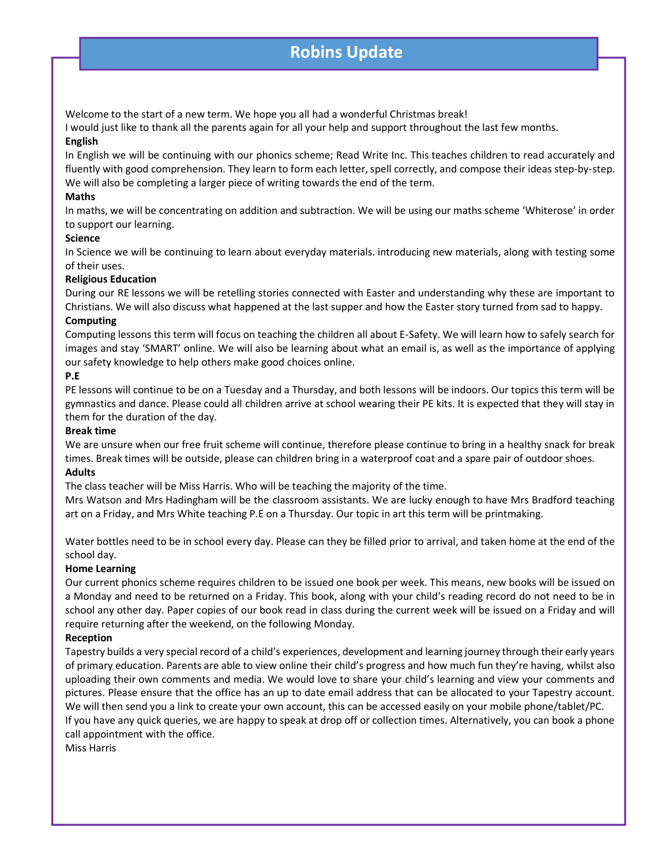# <u>Summer Newsletter Page 2 (2008)</u><br>Robins Update

Welcome to the start of a new term. We hope you all had a wonderful Christmas break!

I would just like to thank all the parents again for all your help and support throughout the last few months. English

In English we will be continuing with our phonics scheme; Read Write Inc. This teaches children to read accurately and fluently with good comprehension. They learn to form each letter, spell correctly, and compose their ideas step-by-step. We will also be completing a larger piece of writing towards the end of the term.

#### Maths

In maths, we will be concentrating on addition and subtraction. We will be using our maths scheme 'Whiterose' in order to support our learning.

#### Science

In Science we will be continuing to learn about everyday materials. introducing new materials, along with testing some of their uses.

#### Religious Education

During our RE lessons we will be retelling stories connected with Easter and understanding why these are important to Christians. We will also discuss what happened at the last supper and how the Easter story turned from sad to happy.

#### Computing

Computing lessons this term will focus on teaching the children all about E-Safety. We will learn how to safely search for images and stay 'SMART' online. We will also be learning about what an email is, as well as the importance of applying our safety knowledge to help others make good choices online.

#### P.E

PE lessons will continue to be on a Tuesday and a Thursday, and both lessons will be indoors. Our topics this term will be gymnastics and dance. Please could all children arrive at school wearing their PE kits. It is expected that they will stay in them for the duration of the day.

#### Break time

We are unsure when our free fruit scheme will continue, therefore please continue to bring in a healthy snack for break times. Break times will be outside, please can children bring in a waterproof coat and a spare pair of outdoor shoes.

#### Adults

The class teacher will be Miss Harris. Who will be teaching the majority of the time.

Mrs Watson and Mrs Hadingham will be the classroom assistants. We are lucky enough to have Mrs Bradford teaching art on a Friday, and Mrs White teaching P.E on a Thursday. Our topic in art this term will be printmaking.

Water bottles need to be in school every day. Please can they be filled prior to arrival, and taken home at the end of the school day.

#### Home Learning

Our current phonics scheme requires children to be issued one book per week. This means, new books will be issued on a Monday and need to be returned on a Friday. This book, along with your child's reading record do not need to be in school any other day. Paper copies of our book read in class during the current week will be issued on a Friday and will require returning after the weekend, on the following Monday.

#### Reception

Tapestry builds a very special record of a child's experiences, development and learning journey through their early years of primary education. Parents are able to view online their child's progress and how much fun they're having, whilst also uploading their own comments and media. We would love to share your child's learning and view your comments and pictures. Please ensure that the office has an up to date email address that can be allocated to your Tapestry account. We will then send you a link to create your own account, this can be accessed easily on your mobile phone/tablet/PC. If you have any quick queries, we are happy to speak at drop off or collection times. Alternatively, you can book a phone call appointment with the office.

Miss Harris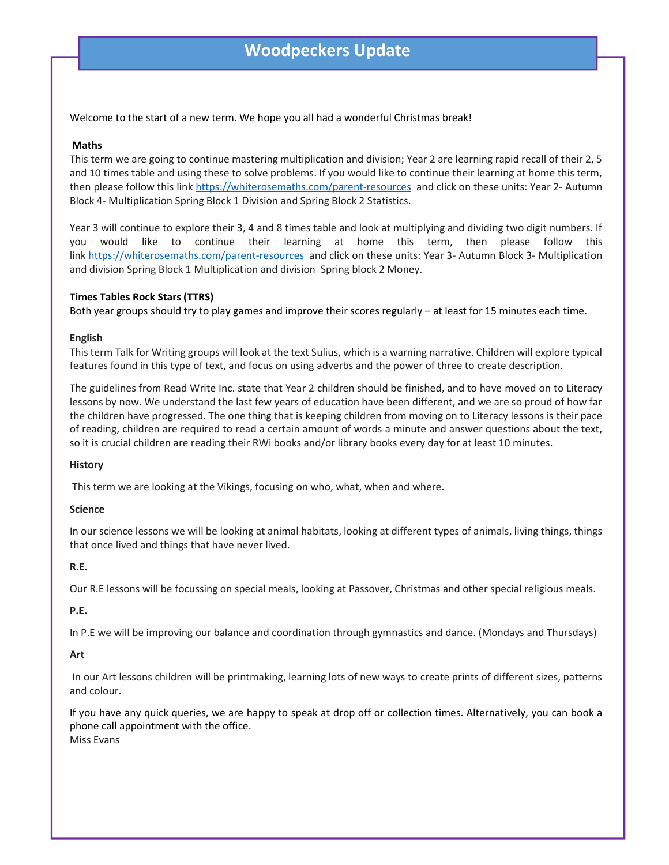# Woodpeckers Update

Welcome to the start of a new term. We hope you all had a wonderful Christmas break!

#### Maths

This term we are going to continue mastering multiplication and division; Year 2 are learning rapid recall of their 2, 5 and 10 times table and using these to solve problems. If you would like to continue their learning at home this term, then please follow this link https://whiterosemaths.com/parent-resources and click on these units: Year 2- Autumn Block 4- Multiplication Spring Block 1 Division and Spring Block 2 Statistics.

Year 3 will continue to explore their 3, 4 and 8 times table and look at multiplying and dividing two digit numbers. If you would like to continue their learning at home this term, then please follow this link https://whiterosemaths.com/parent-resources and click on these units: Year 3- Autumn Block 3- Multiplication and division Spring Block 1 Multiplication and division Spring block 2 Money.

#### Times Tables Rock Stars (TTRS)

Both year groups should try to play games and improve their scores regularly – at least for 15 minutes each time.

#### English

This term Talk for Writing groups will look at the text Sulius, which is a warning narrative. Children will explore typical features found in this type of text, and focus on using adverbs and the power of three to create description.

The guidelines from Read Write Inc. state that Year 2 children should be finished, and to have moved on to Literacy lessons by now. We understand the last few years of education have been different, and we are so proud of how far the children have progressed. The one thing that is keeping children from moving on to Literacy lessons is their pace of reading, children are required to read a certain amount of words a minute and answer questions about the text, so it is crucial children are reading their RWi books and/or library books every day for at least 10 minutes.

#### **History**

This term we are looking at the Vikings, focusing on who, what, when and where.

#### Science

In our science lessons we will be looking at animal habitats, looking at different types of animals, living things, things that once lived and things that have never lived.

#### R.E.

Our R.E lessons will be focussing on special meals, looking at Passover, Christmas and other special religious meals.

#### P.E.

In P.E we will be improving our balance and coordination through gymnastics and dance. (Mondays and Thursdays)

#### Art

 In our Art lessons children will be printmaking, learning lots of new ways to create prints of different sizes, patterns and colour.

If you have any quick queries, we are happy to speak at drop off or collection times. Alternatively, you can book a phone call appointment with the office. Miss Evans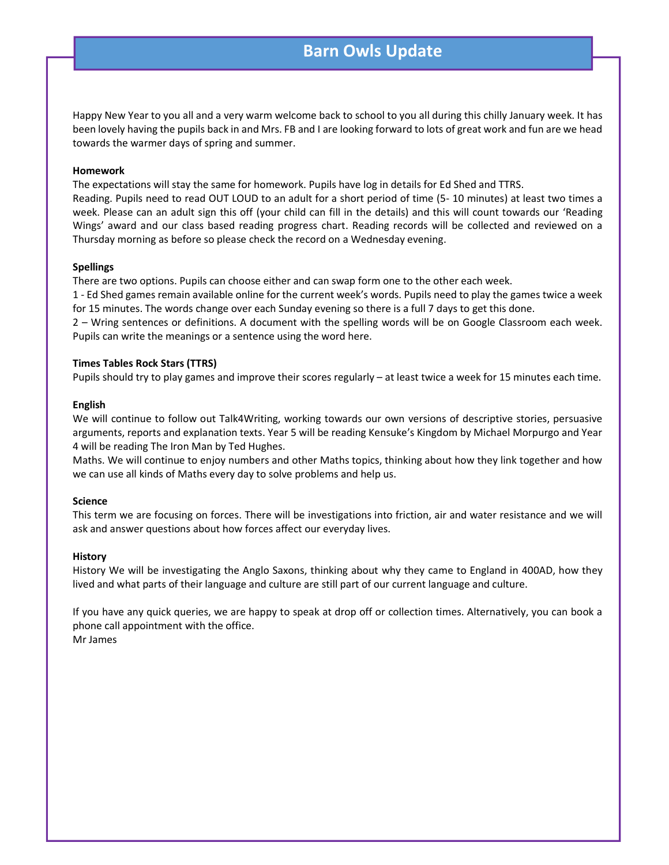# Barn Owls Update

Happy New Year to you all and a very warm welcome back to school to you all during this chilly January week. It has been lovely having the pupils back in and Mrs. FB and I are looking forward to lots of great work and fun are we head towards the warmer days of spring and summer.

#### Homework

The expectations will stay the same for homework. Pupils have log in details for Ed Shed and TTRS.

Reading. Pupils need to read OUT LOUD to an adult for a short period of time (5- 10 minutes) at least two times a week. Please can an adult sign this off (your child can fill in the details) and this will count towards our 'Reading Wings' award and our class based reading progress chart. Reading records will be collected and reviewed on a Thursday morning as before so please check the record on a Wednesday evening.

#### Spellings

There are two options. Pupils can choose either and can swap form one to the other each week.

1 - Ed Shed games remain available online for the current week's words. Pupils need to play the games twice a week for 15 minutes. The words change over each Sunday evening so there is a full 7 days to get this done.

2 – Wring sentences or definitions. A document with the spelling words will be on Google Classroom each week. Pupils can write the meanings or a sentence using the word here.

#### Times Tables Rock Stars (TTRS)

Pupils should try to play games and improve their scores regularly – at least twice a week for 15 minutes each time.

#### English

We will continue to follow out Talk4Writing, working towards our own versions of descriptive stories, persuasive arguments, reports and explanation texts. Year 5 will be reading Kensuke's Kingdom by Michael Morpurgo and Year 4 will be reading The Iron Man by Ted Hughes.

Maths. We will continue to enjoy numbers and other Maths topics, thinking about how they link together and how we can use all kinds of Maths every day to solve problems and help us.

#### Science

This term we are focusing on forces. There will be investigations into friction, air and water resistance and we will ask and answer questions about how forces affect our everyday lives.

#### **History**

History We will be investigating the Anglo Saxons, thinking about why they came to England in 400AD, how they lived and what parts of their language and culture are still part of our current language and culture.

If you have any quick queries, we are happy to speak at drop off or collection times. Alternatively, you can book a phone call appointment with the office. Mr James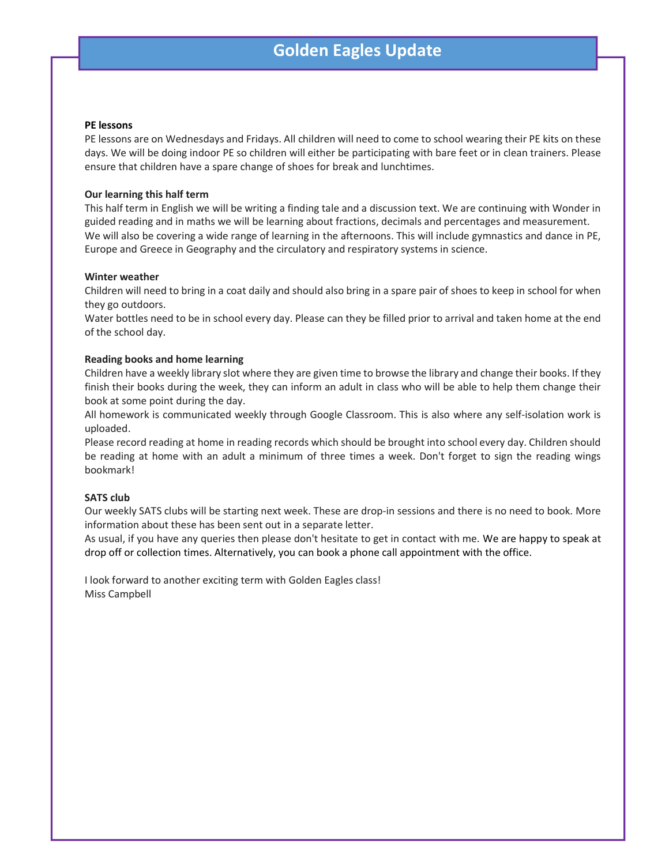# Golden Eagles Update

#### PE lessons

PE lessons are on Wednesdays and Fridays. All children will need to come to school wearing their PE kits on these days. We will be doing indoor PE so children will either be participating with bare feet or in clean trainers. Please ensure that children have a spare change of shoes for break and lunchtimes.

#### Our learning this half term

This half term in English we will be writing a finding tale and a discussion text. We are continuing with Wonder in guided reading and in maths we will be learning about fractions, decimals and percentages and measurement. We will also be covering a wide range of learning in the afternoons. This will include gymnastics and dance in PE, Europe and Greece in Geography and the circulatory and respiratory systems in science.

#### Winter weather

Children will need to bring in a coat daily and should also bring in a spare pair of shoes to keep in school for when they go outdoors.

Water bottles need to be in school every day. Please can they be filled prior to arrival and taken home at the end of the school day.

#### Reading books and home learning

Children have a weekly library slot where they are given time to browse the library and change their books. If they finish their books during the week, they can inform an adult in class who will be able to help them change their book at some point during the day.

All homework is communicated weekly through Google Classroom. This is also where any self-isolation work is uploaded.

Please record reading at home in reading records which should be brought into school every day. Children should be reading at home with an adult a minimum of three times a week. Don't forget to sign the reading wings bookmark!

#### SATS club

Our weekly SATS clubs will be starting next week. These are drop-in sessions and there is no need to book. More information about these has been sent out in a separate letter.

As usual, if you have any queries then please don't hesitate to get in contact with me. We are happy to speak at drop off or collection times. Alternatively, you can book a phone call appointment with the office.

I look forward to another exciting term with Golden Eagles class! Miss Campbell